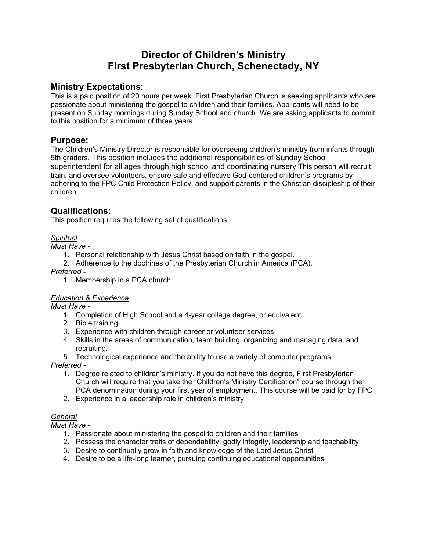# **Director of Children's Ministry First Presbyterian Church, Schenectady, NY**

# **Ministry Expectations**:

This is a paid position of 20 hours per week. First Presbyterian Church is seeking applicants who are passionate about ministering the gospel to children and their families. Applicants will need to be present on Sunday mornings during Sunday School and church. We are asking applicants to commit to this position for a minimum of three years.

### **Purpose:**

The Children's Ministry Director is responsible for overseeing children's ministry from infants through 5th graders. This position includes the additional responsibilities of Sunday School superintendent for all ages through high school and coordinating nursery This person will recruit, train, and oversee volunteers, ensure safe and effective God-centered children's programs by adhering to the FPC Child Protection Policy, and support parents in the Christian discipleship of their children.

# **Qualifications:**

This position requires the following set of qualifications.

#### *Spiritual*

*Must Have -*

- 1. Personal relationship with Jesus Christ based on faith in the gospel.
- 2. Adherence to the doctrines of the Presbyterian Church in America (PCA).

*Preferred -*

1. Membership in a PCA church

#### *Education & Experience*

*Must Have -*

- 1. Completion of High School and a 4-year college degree, or equivalent.
- 2. Bible training
- 3. Experience with children through career or volunteer services
- 4. Skills in the areas of communication, team building, organizing and managing data, and recruiting.

5. Technological experience and the ability to use a variety of computer programs

*Preferred -*

- 1. Degree related to children's ministry. If you do not have this degree, First Presbyterian Church will require that you take the "Children's Ministry Certification" course through the PCA denomination during your first year of employment. This course will be paid for by FPC.
- 2. Experience in a leadership role in children's ministry

### *General*

*Must Have -*

- 1. Passionate about ministering the gospel to children and their families
- 2. Possess the character traits of dependability, godly integrity, leadership and teachability
- 3. Desire to continually grow in faith and knowledge of the Lord Jesus Christ
- 4. Desire to be a life-long learner, pursuing continuing educational opportunities